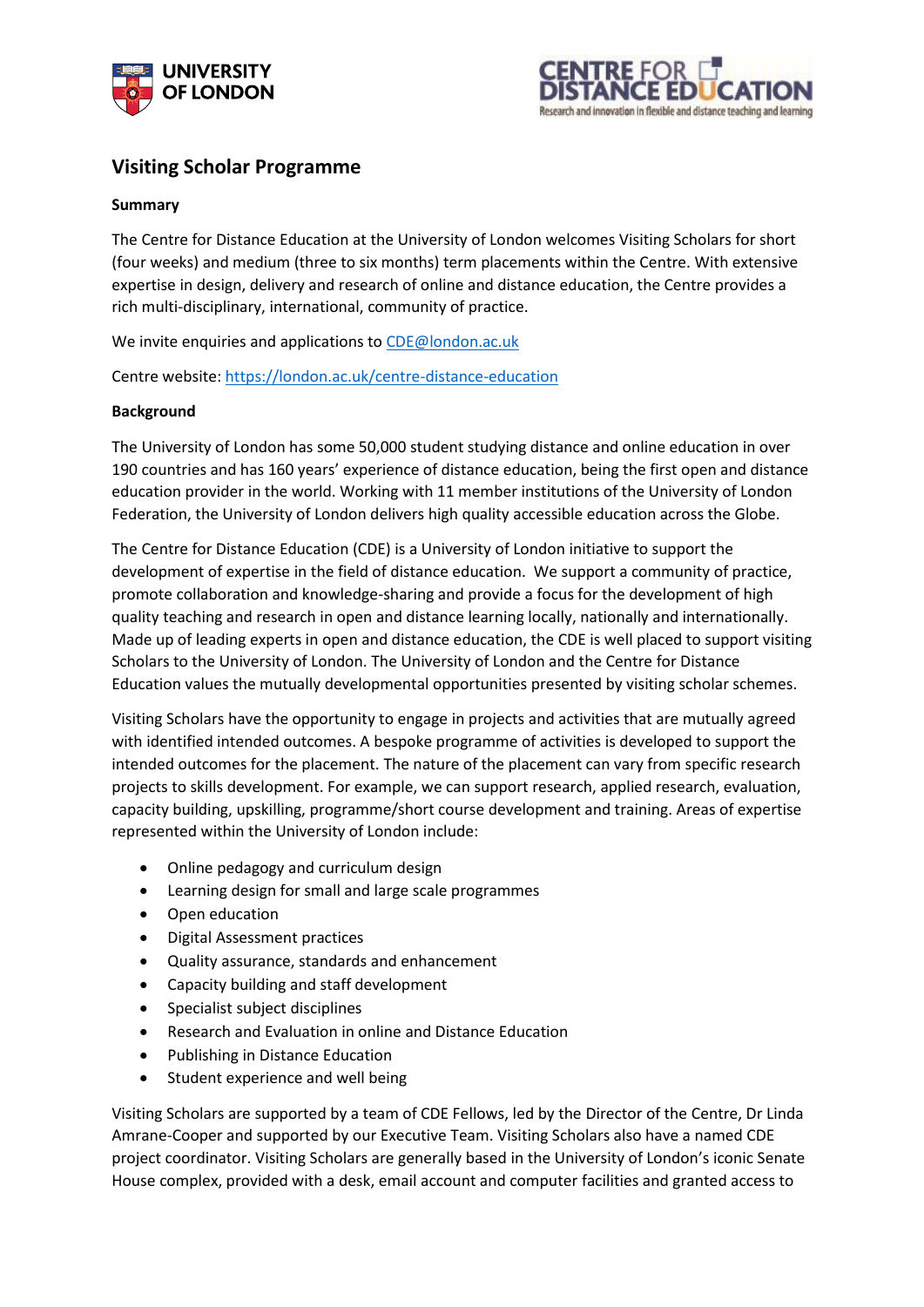



## **Visiting Scholar Programme**

## **Summary**

The Centre for Distance Education at the University of London welcomes Visiting Scholars for short (four weeks) and medium (three to six months) term placements within the Centre. With extensive expertise in design, delivery and research of online and distance education, the Centre provides a rich multi-disciplinary, international, community of practice.

We invite enquiries and applications to [CDE@london.ac.uk](mailto:CDE@london.ac.uk)

Centre website:<https://london.ac.uk/centre-distance-education>

## **Background**

The University of London has some 50,000 student studying distance and online education in over 190 countries and has 160 years' experience of distance education, being the first open and distance education provider in the world. Working with 11 member institutions of the University of London Federation, the University of London delivers high quality accessible education across the Globe.

The Centre for Distance Education (CDE) is a University of London initiative to support the development of expertise in the field of distance education. We support a community of practice, promote collaboration and knowledge-sharing and provide a focus for the development of high quality teaching and research in open and distance learning locally, nationally and internationally. Made up of leading experts in open and distance education, the CDE is well placed to support visiting Scholars to the University of London. The University of London and the Centre for Distance Education values the mutually developmental opportunities presented by visiting scholar schemes.

Visiting Scholars have the opportunity to engage in projects and activities that are mutually agreed with identified intended outcomes. A bespoke programme of activities is developed to support the intended outcomes for the placement. The nature of the placement can vary from specific research projects to skills development. For example, we can support research, applied research, evaluation, capacity building, upskilling, programme/short course development and training. Areas of expertise represented within the University of London include:

- Online pedagogy and curriculum design
- Learning design for small and large scale programmes
- Open education
- Digital Assessment practices
- Quality assurance, standards and enhancement
- Capacity building and staff development
- Specialist subject disciplines
- Research and Evaluation in online and Distance Education
- Publishing in Distance Education
- Student experience and well being

Visiting Scholars are supported by a team of CDE Fellows, led by the Director of the Centre, Dr Linda Amrane-Cooper and supported by our Executive Team. Visiting Scholars also have a named CDE project coordinator. Visiting Scholars are generally based in the University of London's iconic Senate House complex, provided with a desk, email account and computer facilities and granted access to